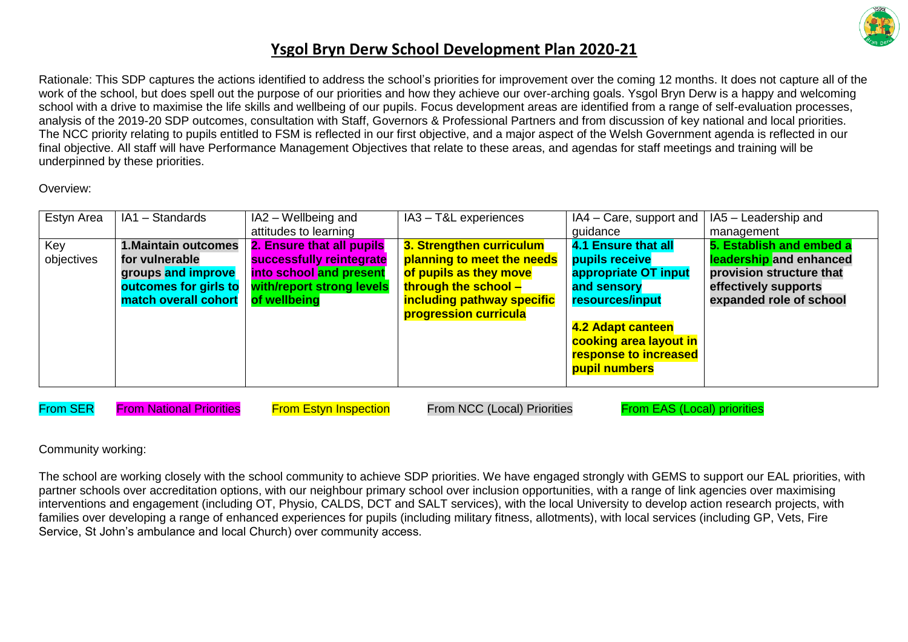

Rationale: This SDP captures the actions identified to address the school's priorities for improvement over the coming 12 months. It does not capture all of the work of the school, but does spell out the purpose of our priorities and how they achieve our over-arching goals. Ysgol Bryn Derw is a happy and welcoming school with a drive to maximise the life skills and wellbeing of our pupils. Focus development areas are identified from a range of self-evaluation processes, analysis of the 2019-20 SDP outcomes, consultation with Staff, Governors & Professional Partners and from discussion of key national and local priorities. The NCC priority relating to pupils entitled to FSM is reflected in our first objective, and a major aspect of the Welsh Government agenda is reflected in our final objective. All staff will have Performance Management Objectives that relate to these areas, and agendas for staff meetings and training will be underpinned by these priorities.

Overview:

| Estyn Area | IA1 - Standards       | IA2 - Wellbeing and       | IA3 - T&L experiences      | $IA4 - Care$ , support and | IA5 - Leadership and     |
|------------|-----------------------|---------------------------|----------------------------|----------------------------|--------------------------|
|            |                       | attitudes to learning     |                            | guidance                   | management               |
| Key        | 1. Maintain outcomes  | 2. Ensure that all pupils | 3. Strengthen curriculum   | <b>4.1 Ensure that all</b> | 5. Establish and embed a |
| objectives | for vulnerable        | successfully reintegrate  | planning to meet the needs | pupils receive             | leadership and enhanced  |
|            | groups and improve    | into school and present   | of pupils as they move     | appropriate OT input       | provision structure that |
|            | outcomes for girls to | with/report strong levels | through the school –       | and sensory                | effectively supports     |
|            | match overall cohort  | of wellbeing              | including pathway specific | resources/input            | expanded role of school  |
|            |                       |                           | progression curricula      |                            |                          |
|            |                       |                           |                            | 4.2 Adapt canteen          |                          |
|            |                       |                           |                            | cooking area layout in     |                          |
|            |                       |                           |                            | response to increased      |                          |
|            |                       |                           |                            | pupil numbers              |                          |
|            |                       |                           |                            |                            |                          |

From SER From National Priorities From Estyn Inspection From NCC (Local) Priorities From EAS (Local) priorities

Community working:

The school are working closely with the school community to achieve SDP priorities. We have engaged strongly with GEMS to support our EAL priorities, with partner schools over accreditation options, with our neighbour primary school over inclusion opportunities, with a range of link agencies over maximising interventions and engagement (including OT, Physio, CALDS, DCT and SALT services), with the local University to develop action research projects, with families over developing a range of enhanced experiences for pupils (including military fitness, allotments), with local services (including GP, Vets, Fire Service, St John's ambulance and local Church) over community access.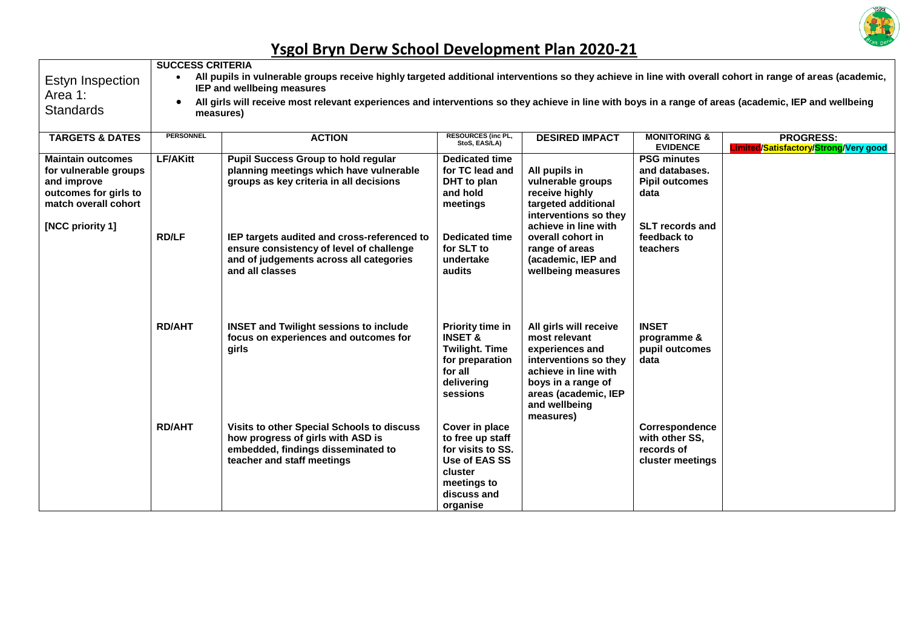

| Estyn Inspection<br>Area 1:<br><b>Standards</b>                                                                                       | <b>SUCCESS CRITERIA</b><br>$\bullet$<br>$\bullet$ | All pupils in vulnerable groups receive highly targeted additional interventions so they achieve in line with overall cohort in range of areas (academic,<br><b>IEP and wellbeing measures</b><br>All girls will receive most relevant experiences and interventions so they achieve in line with boys in a range of areas (academic, IEP and wellbeing<br>measures) |                                                                                                                               |                                                                                                                                                                                         |                                                                                                 |                                                           |
|---------------------------------------------------------------------------------------------------------------------------------------|---------------------------------------------------|----------------------------------------------------------------------------------------------------------------------------------------------------------------------------------------------------------------------------------------------------------------------------------------------------------------------------------------------------------------------|-------------------------------------------------------------------------------------------------------------------------------|-----------------------------------------------------------------------------------------------------------------------------------------------------------------------------------------|-------------------------------------------------------------------------------------------------|-----------------------------------------------------------|
| <b>TARGETS &amp; DATES</b>                                                                                                            | <b>PERSONNEL</b>                                  | <b>ACTION</b>                                                                                                                                                                                                                                                                                                                                                        | RESOURCES (inc PL,<br>StoS, EAS/LA)                                                                                           | <b>DESIRED IMPACT</b>                                                                                                                                                                   | <b>MONITORING &amp;</b><br><b>EVIDENCE</b>                                                      | <b>PROGRESS:</b><br>Limited/Satisfactory/Strong/Very good |
| <b>Maintain outcomes</b><br>for vulnerable groups<br>and improve<br>outcomes for girls to<br>match overall cohort<br>[NCC priority 1] | <b>LF/AKitt</b>                                   | <b>Pupil Success Group to hold regular</b><br>planning meetings which have vulnerable<br>groups as key criteria in all decisions                                                                                                                                                                                                                                     | Dedicated time<br>for TC lead and<br>DHT to plan<br>and hold<br>meetings                                                      | All pupils in<br>vulnerable groups<br>receive highly<br>targeted additional<br>interventions so they<br>achieve in line with                                                            | <b>PSG minutes</b><br>and databases.<br><b>Pipil outcomes</b><br>data<br><b>SLT records and</b> |                                                           |
|                                                                                                                                       | <b>RD/LF</b>                                      | IEP targets audited and cross-referenced to<br>ensure consistency of level of challenge<br>and of judgements across all categories<br>and all classes                                                                                                                                                                                                                | <b>Dedicated time</b><br>for SLT to<br>undertake<br>audits                                                                    | overall cohort in<br>range of areas<br>(academic, IEP and<br>wellbeing measures                                                                                                         | feedback to<br>teachers                                                                         |                                                           |
|                                                                                                                                       | <b>RD/AHT</b>                                     | <b>INSET and Twilight sessions to include</b><br>focus on experiences and outcomes for<br>girls                                                                                                                                                                                                                                                                      | Priority time in<br><b>INSET &amp;</b><br><b>Twilight. Time</b><br>for preparation<br>for all<br>delivering<br>sessions       | All girls will receive<br>most relevant<br>experiences and<br>interventions so they<br>achieve in line with<br>boys in a range of<br>areas (academic, IEP<br>and wellbeing<br>measures) | <b>INSET</b><br>programme &<br>pupil outcomes<br>data                                           |                                                           |
|                                                                                                                                       | <b>RD/AHT</b>                                     | Visits to other Special Schools to discuss<br>how progress of girls with ASD is<br>embedded, findings disseminated to<br>teacher and staff meetings                                                                                                                                                                                                                  | Cover in place<br>to free up staff<br>for visits to SS.<br>Use of EAS SS<br>cluster<br>meetings to<br>discuss and<br>organise |                                                                                                                                                                                         | Correspondence<br>with other SS,<br>records of<br>cluster meetings                              |                                                           |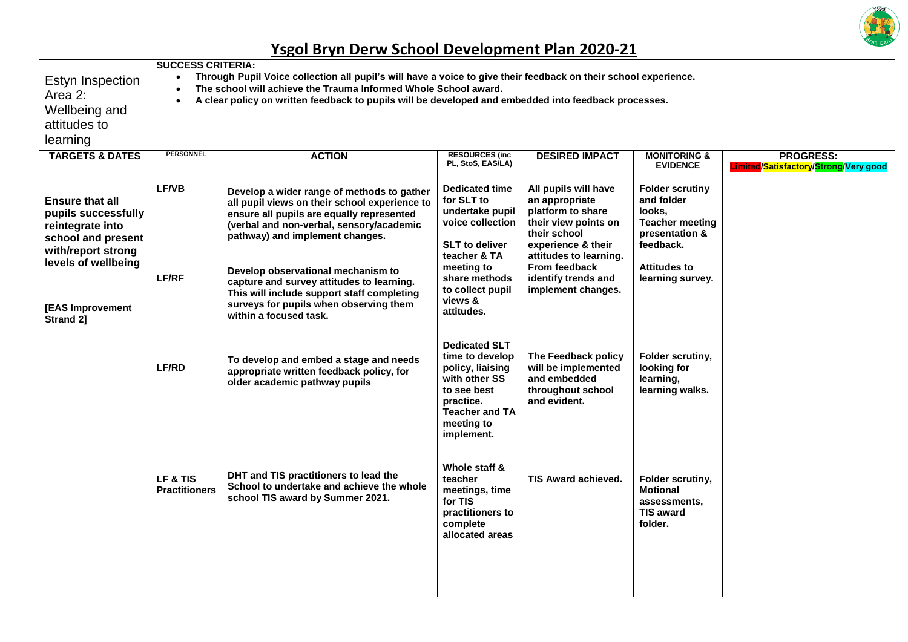

| Estyn Inspection<br>The school will achieve the Trauma Informed Whole School award.<br>A clear policy on written feedback to pupils will be developed and embedded into feedback processes. |                                                                                                                                                                                                                                                                                                                                                                                                                              |                                                                                                                                                                                                 |                                                                                                                                                                                                                   |                                                                                                                                                    |                                                                                                                 |  |  |  |  |
|---------------------------------------------------------------------------------------------------------------------------------------------------------------------------------------------|------------------------------------------------------------------------------------------------------------------------------------------------------------------------------------------------------------------------------------------------------------------------------------------------------------------------------------------------------------------------------------------------------------------------------|-------------------------------------------------------------------------------------------------------------------------------------------------------------------------------------------------|-------------------------------------------------------------------------------------------------------------------------------------------------------------------------------------------------------------------|----------------------------------------------------------------------------------------------------------------------------------------------------|-----------------------------------------------------------------------------------------------------------------|--|--|--|--|
|                                                                                                                                                                                             |                                                                                                                                                                                                                                                                                                                                                                                                                              |                                                                                                                                                                                                 |                                                                                                                                                                                                                   |                                                                                                                                                    |                                                                                                                 |  |  |  |  |
|                                                                                                                                                                                             |                                                                                                                                                                                                                                                                                                                                                                                                                              |                                                                                                                                                                                                 |                                                                                                                                                                                                                   |                                                                                                                                                    |                                                                                                                 |  |  |  |  |
|                                                                                                                                                                                             |                                                                                                                                                                                                                                                                                                                                                                                                                              |                                                                                                                                                                                                 |                                                                                                                                                                                                                   |                                                                                                                                                    |                                                                                                                 |  |  |  |  |
| <b>PERSONNEL</b>                                                                                                                                                                            | <b>ACTION</b>                                                                                                                                                                                                                                                                                                                                                                                                                | <b>RESOURCES (inc.</b><br>PL, StoS, EAS/LA)                                                                                                                                                     | <b>DESIRED IMPACT</b>                                                                                                                                                                                             | <b>MONITORING &amp;</b><br><b>EVIDENCE</b>                                                                                                         | <b>PROGRESS:</b><br><b>Limited/Satisfactory/Strong/Very good</b>                                                |  |  |  |  |
| <b>LF/VB</b><br><b>LF/RF</b>                                                                                                                                                                | Develop a wider range of methods to gather<br>all pupil views on their school experience to<br>ensure all pupils are equally represented<br>(verbal and non-verbal, sensory/academic<br>pathway) and implement changes.<br>Develop observational mechanism to<br>capture and survey attitudes to learning.<br>This will include support staff completing<br>surveys for pupils when observing them<br>within a focused task. | <b>Dedicated time</b><br>for SLT to<br>undertake pupil<br>voice collection<br><b>SLT</b> to deliver<br>teacher & TA<br>meeting to<br>share methods<br>to collect pupil<br>views &<br>attitudes. | All pupils will have<br>an appropriate<br>platform to share<br>their view points on<br>their school<br>experience & their<br>attitudes to learning.<br>From feedback<br>identify trends and<br>implement changes. | <b>Folder scrutiny</b><br>and folder<br>looks.<br><b>Teacher meeting</b><br>presentation &<br>feedback.<br><b>Attitudes to</b><br>learning survey. |                                                                                                                 |  |  |  |  |
| <b>LF/RD</b>                                                                                                                                                                                | To develop and embed a stage and needs<br>appropriate written feedback policy, for<br>older academic pathway pupils                                                                                                                                                                                                                                                                                                          | <b>Dedicated SLT</b><br>time to develop<br>policy, liaising<br>with other SS<br>to see best<br>practice.<br><b>Teacher and TA</b><br>meeting to<br>implement.                                   | The Feedback policy<br>will be implemented<br>and embedded<br>throughout school<br>and evident.                                                                                                                   | Folder scrutiny,<br>looking for<br>learning,<br>learning walks.                                                                                    |                                                                                                                 |  |  |  |  |
| LF & TIS<br><b>Practitioners</b>                                                                                                                                                            | DHT and TIS practitioners to lead the<br>School to undertake and achieve the whole<br>school TIS award by Summer 2021.                                                                                                                                                                                                                                                                                                       | Whole staff &<br>teacher<br>meetings, time<br>for TIS<br>practitioners to<br>complete<br>allocated areas                                                                                        | <b>TIS Award achieved.</b>                                                                                                                                                                                        | Folder scrutiny,<br><b>Motional</b><br>assessments,<br><b>TIS award</b><br>folder.                                                                 |                                                                                                                 |  |  |  |  |
|                                                                                                                                                                                             |                                                                                                                                                                                                                                                                                                                                                                                                                              | <b>SUCCESS CRITERIA:</b>                                                                                                                                                                        |                                                                                                                                                                                                                   |                                                                                                                                                    | Through Pupil Voice collection all pupil's will have a voice to give their feedback on their school experience. |  |  |  |  |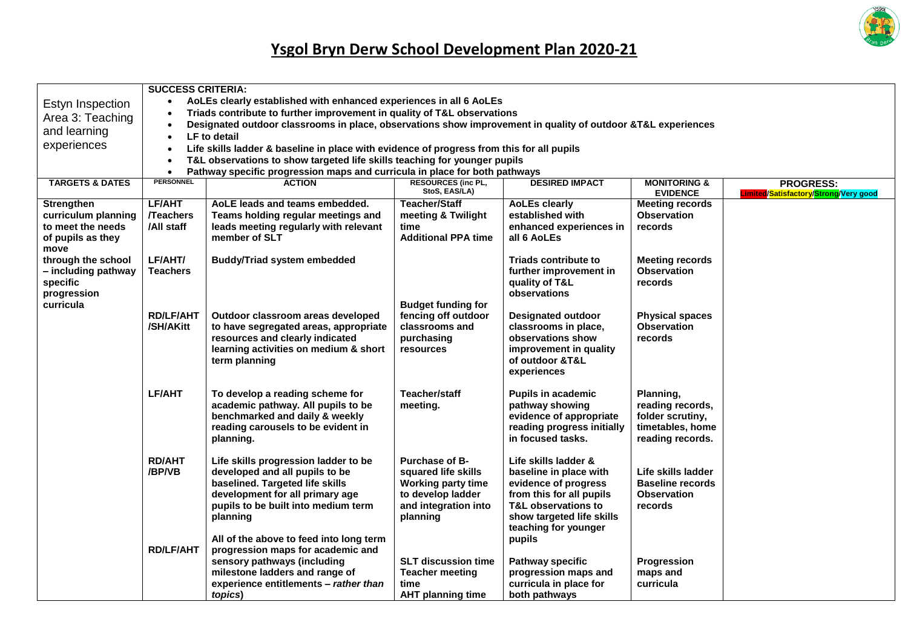

|                            | <b>SUCCESS CRITERIA:</b>                                                                  |                                                                                                              |                            |                             |                         |                                                      |  |  |  |
|----------------------------|-------------------------------------------------------------------------------------------|--------------------------------------------------------------------------------------------------------------|----------------------------|-----------------------------|-------------------------|------------------------------------------------------|--|--|--|
| Estyn Inspection           | $\bullet$                                                                                 | AoLEs clearly established with enhanced experiences in all 6 AoLEs                                           |                            |                             |                         |                                                      |  |  |  |
| Area 3: Teaching           |                                                                                           | Triads contribute to further improvement in quality of T&L observations                                      |                            |                             |                         |                                                      |  |  |  |
|                            |                                                                                           | Designated outdoor classrooms in place, observations show improvement in quality of outdoor &T&L experiences |                            |                             |                         |                                                      |  |  |  |
| and learning               | $\bullet$                                                                                 | <b>LF</b> to detail                                                                                          |                            |                             |                         |                                                      |  |  |  |
| experiences                | Life skills ladder & baseline in place with evidence of progress from this for all pupils |                                                                                                              |                            |                             |                         |                                                      |  |  |  |
|                            | T&L observations to show targeted life skills teaching for younger pupils                 |                                                                                                              |                            |                             |                         |                                                      |  |  |  |
|                            | $\bullet$                                                                                 | Pathway specific progression maps and curricula in place for both pathways                                   |                            |                             |                         |                                                      |  |  |  |
| <b>TARGETS &amp; DATES</b> | <b>PERSONNEL</b>                                                                          | <b>ACTION</b>                                                                                                | <b>RESOURCES (inc PL,</b>  | <b>DESIRED IMPACT</b>       | <b>MONITORING &amp;</b> | <b>PROGRESS:</b>                                     |  |  |  |
|                            |                                                                                           |                                                                                                              | StoS, EAS/LA)              |                             | <b>EVIDENCE</b>         | Limited <mark>/Satisfactory</mark> /Strong/Very good |  |  |  |
| <b>Strengthen</b>          | LF/AHT                                                                                    | AoLE leads and teams embedded.                                                                               | <b>Teacher/Staff</b>       | <b>AoLEs clearly</b>        | <b>Meeting records</b>  |                                                      |  |  |  |
| curriculum planning        | <b>Teachers</b>                                                                           | Teams holding regular meetings and                                                                           | meeting & Twilight         | established with            | <b>Observation</b>      |                                                      |  |  |  |
| to meet the needs          | /All staff                                                                                | leads meeting regularly with relevant                                                                        | time                       | enhanced experiences in     | records                 |                                                      |  |  |  |
| of pupils as they          |                                                                                           | member of SLT                                                                                                | <b>Additional PPA time</b> | all 6 AoLEs                 |                         |                                                      |  |  |  |
| move                       |                                                                                           |                                                                                                              |                            |                             |                         |                                                      |  |  |  |
| through the school         | LF/AHT/                                                                                   | <b>Buddy/Triad system embedded</b>                                                                           |                            | <b>Triads contribute to</b> | <b>Meeting records</b>  |                                                      |  |  |  |
| - including pathway        | <b>Teachers</b>                                                                           |                                                                                                              |                            | further improvement in      | <b>Observation</b>      |                                                      |  |  |  |
| specific                   |                                                                                           |                                                                                                              |                            | quality of T&L              | records                 |                                                      |  |  |  |
| progression                |                                                                                           |                                                                                                              |                            | observations                |                         |                                                      |  |  |  |
| curricula                  |                                                                                           |                                                                                                              | <b>Budget funding for</b>  |                             |                         |                                                      |  |  |  |
|                            | <b>RD/LF/AHT</b>                                                                          | Outdoor classroom areas developed                                                                            | fencing off outdoor        | <b>Designated outdoor</b>   | <b>Physical spaces</b>  |                                                      |  |  |  |
|                            | /SH/AKitt                                                                                 | to have segregated areas, appropriate                                                                        | classrooms and             | classrooms in place,        | <b>Observation</b>      |                                                      |  |  |  |
|                            |                                                                                           | resources and clearly indicated                                                                              | purchasing                 | observations show           | records                 |                                                      |  |  |  |
|                            |                                                                                           | learning activities on medium & short                                                                        | <b>resources</b>           | improvement in quality      |                         |                                                      |  |  |  |
|                            |                                                                                           | term planning                                                                                                |                            | of outdoor &T&L             |                         |                                                      |  |  |  |
|                            |                                                                                           |                                                                                                              |                            | experiences                 |                         |                                                      |  |  |  |
|                            |                                                                                           |                                                                                                              |                            |                             |                         |                                                      |  |  |  |
|                            | LF/AHT                                                                                    | To develop a reading scheme for                                                                              | <b>Teacher/staff</b>       | <b>Pupils in academic</b>   | Planning,               |                                                      |  |  |  |
|                            |                                                                                           | academic pathway. All pupils to be                                                                           | meeting.                   | pathway showing             | reading records,        |                                                      |  |  |  |
|                            |                                                                                           | benchmarked and daily & weekly                                                                               |                            | evidence of appropriate     | folder scrutiny,        |                                                      |  |  |  |
|                            |                                                                                           | reading carousels to be evident in                                                                           |                            | reading progress initially  | timetables, home        |                                                      |  |  |  |
|                            |                                                                                           | planning.                                                                                                    |                            | in focused tasks.           | reading records.        |                                                      |  |  |  |
|                            |                                                                                           |                                                                                                              |                            |                             |                         |                                                      |  |  |  |
|                            | <b>RD/AHT</b>                                                                             | Life skills progression ladder to be                                                                         | <b>Purchase of B-</b>      | Life skills ladder &        |                         |                                                      |  |  |  |
|                            | /BP/VB                                                                                    | developed and all pupils to be                                                                               | squared life skills        | baseline in place with      | Life skills ladder      |                                                      |  |  |  |
|                            |                                                                                           | baselined. Targeted life skills                                                                              | <b>Working party time</b>  | evidence of progress        | <b>Baseline records</b> |                                                      |  |  |  |
|                            |                                                                                           | development for all primary age                                                                              | to develop ladder          | from this for all pupils    | <b>Observation</b>      |                                                      |  |  |  |
|                            |                                                                                           | pupils to be built into medium term                                                                          | and integration into       | T&L observations to         | records                 |                                                      |  |  |  |
|                            |                                                                                           | planning                                                                                                     | planning                   | show targeted life skills   |                         |                                                      |  |  |  |
|                            |                                                                                           |                                                                                                              |                            | teaching for younger        |                         |                                                      |  |  |  |
|                            |                                                                                           | All of the above to feed into long term                                                                      |                            | pupils                      |                         |                                                      |  |  |  |
|                            | <b>RD/LF/AHT</b>                                                                          | progression maps for academic and                                                                            |                            |                             |                         |                                                      |  |  |  |
|                            |                                                                                           | sensory pathways (including                                                                                  | <b>SLT discussion time</b> | <b>Pathway specific</b>     | Progression             |                                                      |  |  |  |
|                            |                                                                                           | milestone ladders and range of                                                                               | <b>Teacher meeting</b>     | progression maps and        | maps and                |                                                      |  |  |  |
|                            |                                                                                           | experience entitlements - rather than                                                                        | time                       | curricula in place for      | curricula               |                                                      |  |  |  |
|                            |                                                                                           | topics)                                                                                                      | <b>AHT planning time</b>   | both pathways               |                         |                                                      |  |  |  |
|                            |                                                                                           |                                                                                                              |                            |                             |                         |                                                      |  |  |  |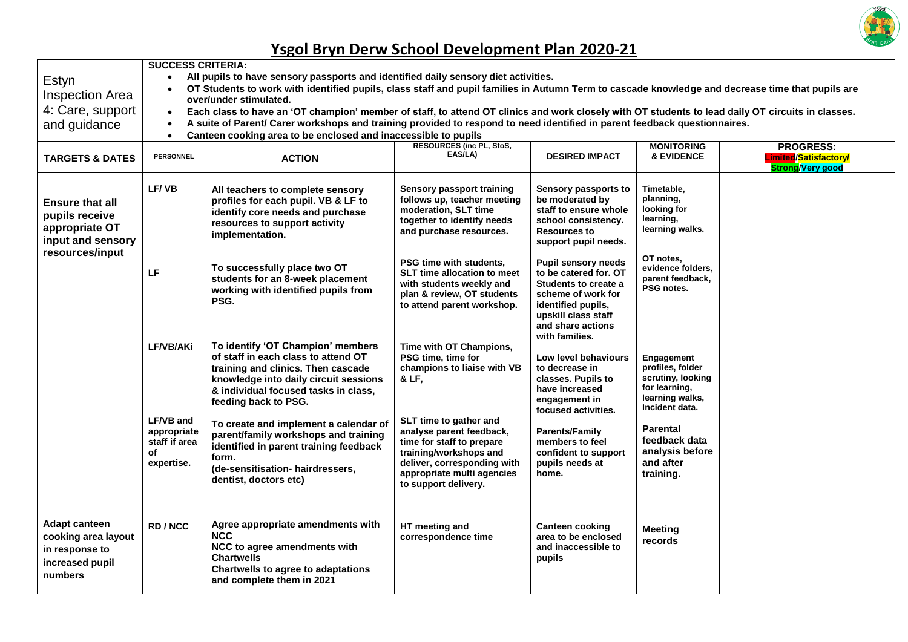

| Estyn<br><b>Inspection Area</b><br>4: Care, support<br>and guidance<br><b>TARGETS &amp; DATES</b>  | <b>SUCCESS CRITERIA:</b><br>All pupils to have sensory passports and identified daily sensory diet activities.<br>$\bullet$<br>OT Students to work with identified pupils, class staff and pupil families in Autumn Term to cascade knowledge and decrease time that pupils are<br>$\bullet$<br>over/under stimulated.<br>Each class to have an 'OT champion' member of staff, to attend OT clinics and work closely with OT students to lead daily OT circuits in classes.<br>$\bullet$<br>A suite of Parent/ Carer workshops and training provided to respond to need identified in parent feedback questionnaires.<br>$\bullet$<br>Canteen cooking area to be enclosed and inaccessible to pupils<br>$\bullet$<br><b>RESOURCES (inc PL, StoS,</b><br><b>MONITORING</b><br><b>PROGRESS:</b><br>EAS/LA)<br><b>DESIRED IMPACT</b><br><b>&amp; EVIDENCE</b><br><b>PERSONNEL</b><br>Limited/Satisfactory/<br><b>ACTION</b> |                                                                                                                                                                                                                         |                                                                                                                                                                                                |                                                                                                                                                                                              |                                                                                                           |                         |  |  |
|----------------------------------------------------------------------------------------------------|--------------------------------------------------------------------------------------------------------------------------------------------------------------------------------------------------------------------------------------------------------------------------------------------------------------------------------------------------------------------------------------------------------------------------------------------------------------------------------------------------------------------------------------------------------------------------------------------------------------------------------------------------------------------------------------------------------------------------------------------------------------------------------------------------------------------------------------------------------------------------------------------------------------------------|-------------------------------------------------------------------------------------------------------------------------------------------------------------------------------------------------------------------------|------------------------------------------------------------------------------------------------------------------------------------------------------------------------------------------------|----------------------------------------------------------------------------------------------------------------------------------------------------------------------------------------------|-----------------------------------------------------------------------------------------------------------|-------------------------|--|--|
| <b>Ensure that all</b><br>pupils receive<br>appropriate OT<br>input and sensory<br>resources/input | LF/VB                                                                                                                                                                                                                                                                                                                                                                                                                                                                                                                                                                                                                                                                                                                                                                                                                                                                                                                    | All teachers to complete sensory<br>profiles for each pupil. VB & LF to<br>identify core needs and purchase<br>resources to support activity<br>implementation.                                                         | Sensory passport training<br>follows up, teacher meeting<br>moderation, SLT time<br>together to identify needs<br>and purchase resources.                                                      | Sensory passports to<br>be moderated by<br>staff to ensure whole<br>school consistency.<br><b>Resources to</b><br>support pupil needs.                                                       | Timetable,<br>planning,<br>looking for<br>learning,<br>learning walks.                                    | <b>Strong/Very good</b> |  |  |
|                                                                                                    | LF                                                                                                                                                                                                                                                                                                                                                                                                                                                                                                                                                                                                                                                                                                                                                                                                                                                                                                                       | To successfully place two OT<br>students for an 8-week placement<br>working with identified pupils from<br>PSG.                                                                                                         | PSG time with students,<br><b>SLT time allocation to meet</b><br>with students weekly and<br>plan & review, OT students<br>to attend parent workshop.                                          | <b>Pupil sensory needs</b><br>to be catered for, OT<br><b>Students to create a</b><br>scheme of work for<br>identified pupils,<br>upskill class staff<br>and share actions<br>with families. | OT notes.<br>evidence folders,<br>parent feedback,<br>PSG notes.                                          |                         |  |  |
|                                                                                                    | LF/VB/AKi                                                                                                                                                                                                                                                                                                                                                                                                                                                                                                                                                                                                                                                                                                                                                                                                                                                                                                                | To identify 'OT Champion' members<br>of staff in each class to attend OT<br>training and clinics. Then cascade<br>knowledge into daily circuit sessions<br>& individual focused tasks in class,<br>feeding back to PSG. | Time with OT Champions,<br>PSG time, time for<br>champions to liaise with VB<br>& LF,                                                                                                          | Low level behaviours<br>to decrease in<br>classes. Pupils to<br>have increased<br>engagement in<br>focused activities.                                                                       | Engagement<br>profiles, folder<br>scrutiny, looking<br>for learning,<br>learning walks,<br>Incident data. |                         |  |  |
|                                                                                                    | <b>LF/VB and</b><br>appropriate<br>staff if area<br>οf<br>expertise.                                                                                                                                                                                                                                                                                                                                                                                                                                                                                                                                                                                                                                                                                                                                                                                                                                                     | To create and implement a calendar of<br>parent/family workshops and training<br>identified in parent training feedback<br>form.<br>(de-sensitisation- hairdressers,<br>dentist, doctors etc)                           | SLT time to gather and<br>analyse parent feedback,<br>time for staff to prepare<br>training/workshops and<br>deliver, corresponding with<br>appropriate multi agencies<br>to support delivery. | <b>Parents/Family</b><br>members to feel<br>confident to support<br>pupils needs at<br>home.                                                                                                 | <b>Parental</b><br>feedback data<br>analysis before<br>and after<br>training.                             |                         |  |  |
| <b>Adapt canteen</b><br>cooking area layout<br>in response to<br>increased pupil<br>numbers        | RD/NCC                                                                                                                                                                                                                                                                                                                                                                                                                                                                                                                                                                                                                                                                                                                                                                                                                                                                                                                   | Agree appropriate amendments with<br><b>NCC</b><br>NCC to agree amendments with<br><b>Chartwells</b><br><b>Chartwells to agree to adaptations</b><br>and complete them in 2021                                          | HT meeting and<br>correspondence time                                                                                                                                                          | <b>Canteen cooking</b><br>area to be enclosed<br>and inaccessible to<br>pupils                                                                                                               | <b>Meeting</b><br>records                                                                                 |                         |  |  |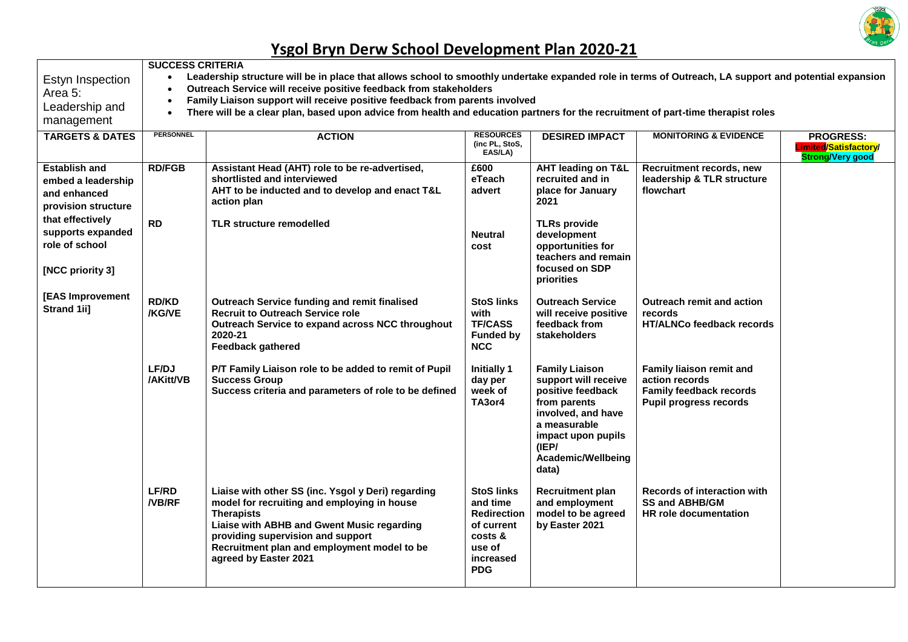

| Estyn Inspection                         | <b>SUCCESS CRITERIA</b><br>Leadership structure will be in place that allows school to smoothly undertake expanded role in terms of Outreach, LA support and potential expansion<br>$\bullet$ |                                                                                                                                                                                                                                                                                   |                                                                                                                   |                                                                                                                                                                                               |                                                                                                               |                                                                      |  |  |  |  |
|------------------------------------------|-----------------------------------------------------------------------------------------------------------------------------------------------------------------------------------------------|-----------------------------------------------------------------------------------------------------------------------------------------------------------------------------------------------------------------------------------------------------------------------------------|-------------------------------------------------------------------------------------------------------------------|-----------------------------------------------------------------------------------------------------------------------------------------------------------------------------------------------|---------------------------------------------------------------------------------------------------------------|----------------------------------------------------------------------|--|--|--|--|
| Area 5:                                  | $\bullet$                                                                                                                                                                                     | Outreach Service will receive positive feedback from stakeholders<br>Family Liaison support will receive positive feedback from parents involved<br>$\bullet$                                                                                                                     |                                                                                                                   |                                                                                                                                                                                               |                                                                                                               |                                                                      |  |  |  |  |
| Leadership and                           | There will be a clear plan, based upon advice from health and education partners for the recruitment of part-time therapist roles<br>$\bullet$                                                |                                                                                                                                                                                                                                                                                   |                                                                                                                   |                                                                                                                                                                                               |                                                                                                               |                                                                      |  |  |  |  |
| management<br><b>TARGETS &amp; DATES</b> | <b>PERSONNEL</b><br><b>RESOURCES</b><br><b>ACTION</b><br><b>MONITORING &amp; EVIDENCE</b>                                                                                                     |                                                                                                                                                                                                                                                                                   |                                                                                                                   |                                                                                                                                                                                               |                                                                                                               |                                                                      |  |  |  |  |
|                                          |                                                                                                                                                                                               |                                                                                                                                                                                                                                                                                   | (inc PL, StoS,<br>EAS/LA)                                                                                         | <b>DESIRED IMPACT</b>                                                                                                                                                                         |                                                                                                               | <b>PROGRESS:</b><br>Limited/Satisfactory/<br><b>Strong/Very good</b> |  |  |  |  |
| <b>Establish and</b>                     | <b>RD/FGB</b>                                                                                                                                                                                 | Assistant Head (AHT) role to be re-advertised,                                                                                                                                                                                                                                    | £600                                                                                                              | <b>AHT leading on T&amp;L</b>                                                                                                                                                                 | Recruitment records, new                                                                                      |                                                                      |  |  |  |  |
| embed a leadership                       |                                                                                                                                                                                               | shortlisted and interviewed<br>AHT to be inducted and to develop and enact T&L                                                                                                                                                                                                    | eTeach<br>advert                                                                                                  | recruited and in<br>place for January                                                                                                                                                         | leadership & TLR structure<br>flowchart                                                                       |                                                                      |  |  |  |  |
| and enhanced<br>provision structure      |                                                                                                                                                                                               | action plan                                                                                                                                                                                                                                                                       |                                                                                                                   | 2021                                                                                                                                                                                          |                                                                                                               |                                                                      |  |  |  |  |
| that effectively                         |                                                                                                                                                                                               |                                                                                                                                                                                                                                                                                   |                                                                                                                   |                                                                                                                                                                                               |                                                                                                               |                                                                      |  |  |  |  |
| supports expanded                        | <b>RD</b>                                                                                                                                                                                     | <b>TLR structure remodelled</b>                                                                                                                                                                                                                                                   | <b>Neutral</b>                                                                                                    | <b>TLRs provide</b><br>development                                                                                                                                                            |                                                                                                               |                                                                      |  |  |  |  |
| role of school                           |                                                                                                                                                                                               |                                                                                                                                                                                                                                                                                   | cost                                                                                                              | opportunities for<br>teachers and remain                                                                                                                                                      |                                                                                                               |                                                                      |  |  |  |  |
| [NCC priority 3]                         |                                                                                                                                                                                               |                                                                                                                                                                                                                                                                                   |                                                                                                                   | focused on SDP<br>priorities                                                                                                                                                                  |                                                                                                               |                                                                      |  |  |  |  |
| [EAS Improvement<br>Strand 1ii]          | <b>RD/KD</b><br>/KG/VE                                                                                                                                                                        | Outreach Service funding and remit finalised<br><b>Recruit to Outreach Service role</b><br>Outreach Service to expand across NCC throughout<br>2020-21<br><b>Feedback gathered</b>                                                                                                | <b>StoS links</b><br>with<br><b>TF/CASS</b><br><b>Funded by</b><br><b>NCC</b>                                     | <b>Outreach Service</b><br>will receive positive<br>feedback from<br>stakeholders                                                                                                             | <b>Outreach remit and action</b><br>records<br>HT/ALNCo feedback records                                      |                                                                      |  |  |  |  |
|                                          | LF/DJ<br>/AKitt/VB                                                                                                                                                                            | P/T Family Liaison role to be added to remit of Pupil<br><b>Success Group</b><br>Success criteria and parameters of role to be defined                                                                                                                                            | <b>Initially 1</b><br>day per<br>week of<br>TA3or4                                                                | <b>Family Liaison</b><br>support will receive<br>positive feedback<br>from parents<br>involved, and have<br>a measurable<br>impact upon pupils<br>(IEP/<br><b>Academic/Wellbeing</b><br>data) | Family liaison remit and<br>action records<br><b>Family feedback records</b><br><b>Pupil progress records</b> |                                                                      |  |  |  |  |
|                                          | <b>LF/RD</b><br><b>NB/RF</b>                                                                                                                                                                  | Liaise with other SS (inc. Ysgol y Deri) regarding<br>model for recruiting and employing in house<br><b>Therapists</b><br>Liaise with ABHB and Gwent Music regarding<br>providing supervision and support<br>Recruitment plan and employment model to be<br>agreed by Easter 2021 | <b>StoS links</b><br>and time<br><b>Redirection</b><br>of current<br>costs &<br>use of<br>increased<br><b>PDG</b> | <b>Recruitment plan</b><br>and employment<br>model to be agreed<br>by Easter 2021                                                                                                             | Records of interaction with<br><b>SS and ABHB/GM</b><br><b>HR</b> role documentation                          |                                                                      |  |  |  |  |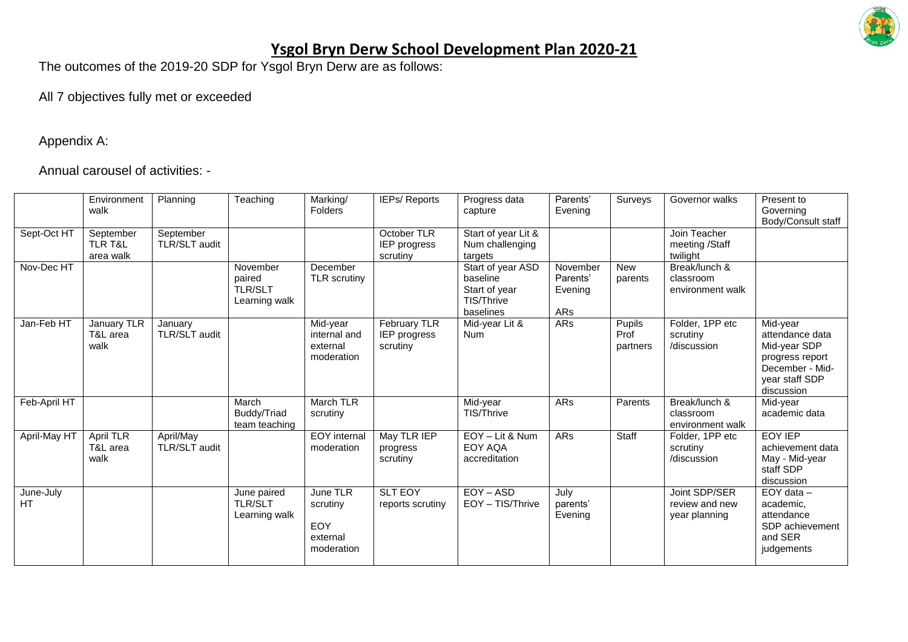

The outcomes of the 2019-20 SDP for Ysgol Bryn Derw are as follows:

#### All 7 objectives fully met or exceeded

Appendix A:

Annual carousel of activities: -

|                        | Environment<br>walk                          | Planning                   | Teaching                                       | Marking/<br>Folders                                   | <b>IEPs/ Reports</b>                     | Progress data<br>capture                                                  | Parents'<br>Evening                    | Surveys                    | Governor walks                                   | Present to<br>Governing<br>Body/Consult staff                                                                     |
|------------------------|----------------------------------------------|----------------------------|------------------------------------------------|-------------------------------------------------------|------------------------------------------|---------------------------------------------------------------------------|----------------------------------------|----------------------------|--------------------------------------------------|-------------------------------------------------------------------------------------------------------------------|
| Sept-Oct HT            | September<br><b>TLR T&amp;L</b><br>area walk | September<br>TLR/SLT audit |                                                |                                                       | October TLR<br>IEP progress<br>scrutiny  | Start of year Lit &<br>Num challenging<br>targets                         |                                        |                            | Join Teacher<br>meeting /Staff<br>twilight       |                                                                                                                   |
| Nov-Dec HT             |                                              |                            | November<br>paired<br>TLR/SLT<br>Learning walk | December<br><b>TLR</b> scrutiny                       |                                          | Start of year ASD<br>baseline<br>Start of year<br>TIS/Thrive<br>baselines | November<br>Parents'<br>Evening<br>ARs | <b>New</b><br>parents      | Break/lunch &<br>classroom<br>environment walk   |                                                                                                                   |
| Jan-Feb HT             | January TLR<br>T&L area<br>walk              | January<br>TLR/SLT audit   |                                                | Mid-year<br>internal and<br>external<br>moderation    | February TLR<br>IEP progress<br>scrutiny | Mid-year Lit &<br><b>Num</b>                                              | ARs                                    | Pupils<br>Prof<br>partners | Folder, 1PP etc<br>scrutiny<br>/discussion       | Mid-year<br>attendance data<br>Mid-year SDP<br>progress report<br>December - Mid-<br>year staff SDP<br>discussion |
| Feb-April HT           |                                              |                            | March<br>Buddy/Triad<br>team teaching          | <b>March TLR</b><br>scrutiny                          |                                          | Mid-year<br><b>TIS/Thrive</b>                                             | ARs                                    | Parents                    | Break/lunch &<br>classroom<br>environment walk   | Mid-year<br>academic data                                                                                         |
| April-May HT           | <b>April TLR</b><br>T&L area<br>walk         | April/May<br>TLR/SLT audit |                                                | <b>EOY</b> internal<br>moderation                     | May TLR IEP<br>progress<br>scrutiny      | EOY - Lit & Num<br>EOY AQA<br>accreditation                               | ARs                                    | Staff                      | Folder, 1PP etc<br>scrutiny<br>/discussion       | <b>EOY IEP</b><br>achievement data<br>May - Mid-year<br>staff SDP<br>discussion                                   |
| June-July<br><b>HT</b> |                                              |                            | June paired<br><b>TLR/SLT</b><br>Learning walk | June TLR<br>scrutiny<br>EOY<br>external<br>moderation | <b>SLT EOY</b><br>reports scrutiny       | EOY - ASD<br>EOY - TIS/Thrive                                             | July<br>parents'<br>Evening            |                            | Joint SDP/SER<br>review and new<br>year planning | $EOY$ data $-$<br>academic,<br>attendance<br>SDP achievement<br>and SER<br>judgements                             |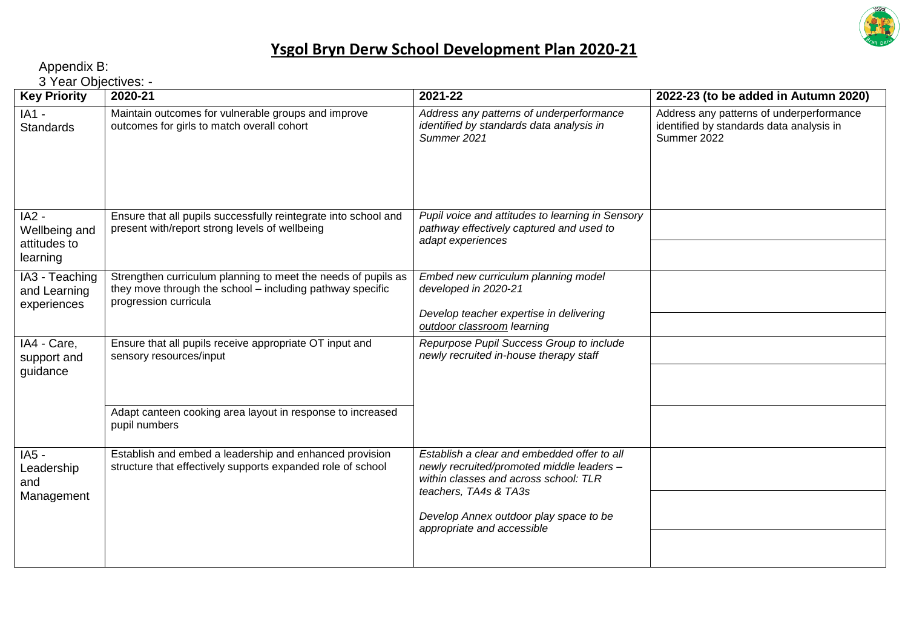

Appendix B:

3 Year Objectives: -

| $5 - 1$<br><b>Key Priority</b>                       | 2020-21                                                                                                                                             | 2021-22                                                                                                                                                    | 2022-23 (to be added in Autumn 2020)                                                                |
|------------------------------------------------------|-----------------------------------------------------------------------------------------------------------------------------------------------------|------------------------------------------------------------------------------------------------------------------------------------------------------------|-----------------------------------------------------------------------------------------------------|
| $IA1 -$<br><b>Standards</b>                          | Maintain outcomes for vulnerable groups and improve<br>outcomes for girls to match overall cohort                                                   | Address any patterns of underperformance<br>identified by standards data analysis in<br>Summer 2021                                                        | Address any patterns of underperformance<br>identified by standards data analysis in<br>Summer 2022 |
| $IA2 -$<br>Wellbeing and<br>attitudes to<br>learning | Ensure that all pupils successfully reintegrate into school and<br>present with/report strong levels of wellbeing                                   | Pupil voice and attitudes to learning in Sensory<br>pathway effectively captured and used to<br>adapt experiences                                          |                                                                                                     |
| IA3 - Teaching<br>and Learning<br>experiences        | Strengthen curriculum planning to meet the needs of pupils as<br>they move through the school – including pathway specific<br>progression curricula | Embed new curriculum planning model<br>developed in 2020-21<br>Develop teacher expertise in delivering<br>outdoor classroom learning                       |                                                                                                     |
| IA4 - Care,<br>support and<br>guidance               | Ensure that all pupils receive appropriate OT input and<br>sensory resources/input                                                                  | Repurpose Pupil Success Group to include<br>newly recruited in-house therapy staff                                                                         |                                                                                                     |
|                                                      | Adapt canteen cooking area layout in response to increased<br>pupil numbers                                                                         |                                                                                                                                                            |                                                                                                     |
| IA5 -<br>Leadership<br>and                           | Establish and embed a leadership and enhanced provision<br>structure that effectively supports expanded role of school                              | Establish a clear and embedded offer to all<br>newly recruited/promoted middle leaders -<br>within classes and across school: TLR<br>teachers, TA4s & TA3s |                                                                                                     |
| Management                                           |                                                                                                                                                     | Develop Annex outdoor play space to be<br>appropriate and accessible                                                                                       |                                                                                                     |
|                                                      |                                                                                                                                                     |                                                                                                                                                            |                                                                                                     |